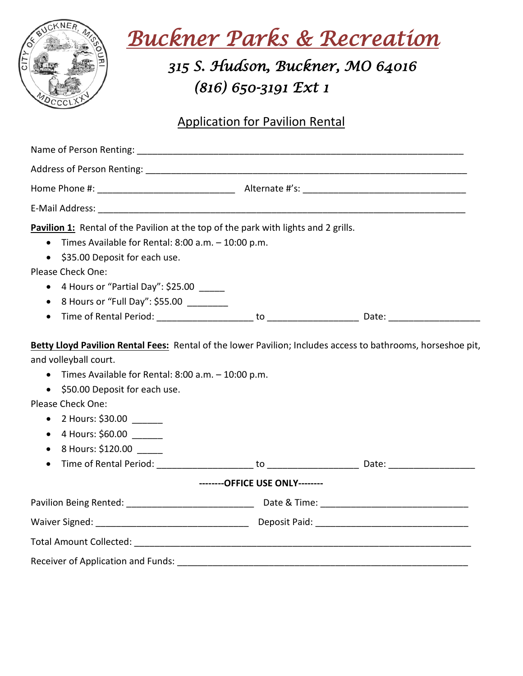

 *Buckner Parks & Recreation* 

## *315 S. Hudson, Buckner, MO 64016 (816) 650-3191 Ext 1*

#### Application for Pavilion Rental

| Pavilion 1: Rental of the Pavilion at the top of the park with lights and 2 grills.                                                                                                                                                                                     |                                 |  |
|-------------------------------------------------------------------------------------------------------------------------------------------------------------------------------------------------------------------------------------------------------------------------|---------------------------------|--|
| Times Available for Rental: $8:00$ a.m. $-10:00$ p.m.<br>$\bullet$                                                                                                                                                                                                      |                                 |  |
| \$35.00 Deposit for each use.<br>$\bullet$                                                                                                                                                                                                                              |                                 |  |
| Please Check One:                                                                                                                                                                                                                                                       |                                 |  |
| 4 Hours or "Partial Day": \$25.00 _____<br>$\bullet$                                                                                                                                                                                                                    |                                 |  |
| • 8 Hours or "Full Day": \$55.00 _______                                                                                                                                                                                                                                |                                 |  |
| $\bullet$                                                                                                                                                                                                                                                               |                                 |  |
| and volleyball court.<br>Times Available for Rental: 8:00 a.m. - 10:00 p.m.<br>\$50.00 Deposit for each use.<br>$\bullet$<br>Please Check One:<br>2 Hours: \$30.00<br>$\bullet$<br>4 Hours: \$60.00 _______<br>$\bullet$<br>8 Hours: \$120.00<br>$\bullet$<br>$\bullet$ | --------OFFICE USE ONLY-------- |  |
|                                                                                                                                                                                                                                                                         |                                 |  |
|                                                                                                                                                                                                                                                                         |                                 |  |
|                                                                                                                                                                                                                                                                         |                                 |  |
|                                                                                                                                                                                                                                                                         |                                 |  |
| Receiver of Application and Funds:                                                                                                                                                                                                                                      |                                 |  |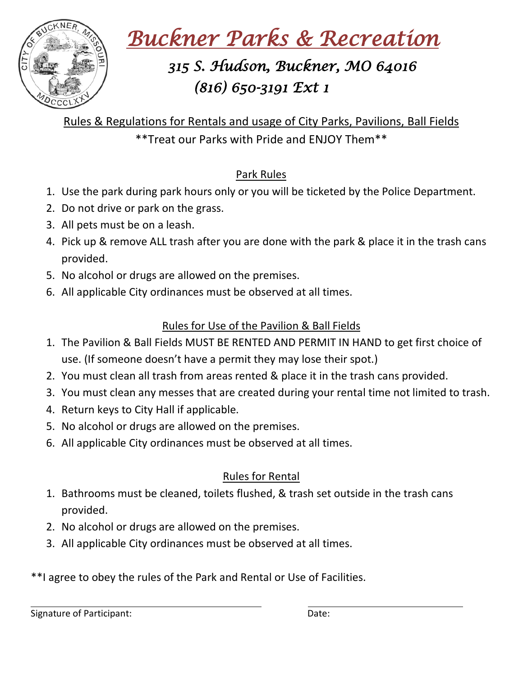

 *Buckner Parks & Recreation* 

# *315 S. Hudson, Buckner, MO 64016 (816) 650-3191 Ext 1*

Rules & Regulations for Rentals and usage of City Parks, Pavilions, Ball Fields \*\*Treat our Parks with Pride and ENJOY Them\*\*

#### Park Rules

- 1. Use the park during park hours only or you will be ticketed by the Police Department.
- 2. Do not drive or park on the grass.
- 3. All pets must be on a leash.
- 4. Pick up & remove ALL trash after you are done with the park & place it in the trash cans provided.
- 5. No alcohol or drugs are allowed on the premises.
- 6. All applicable City ordinances must be observed at all times.

#### Rules for Use of the Pavilion & Ball Fields

- 1. The Pavilion & Ball Fields MUST BE RENTED AND PERMIT IN HAND to get first choice of use. (If someone doesn't have a permit they may lose their spot.)
- 2. You must clean all trash from areas rented & place it in the trash cans provided.
- 3. You must clean any messes that are created during your rental time not limited to trash.
- 4. Return keys to City Hall if applicable.
- 5. No alcohol or drugs are allowed on the premises.
- 6. All applicable City ordinances must be observed at all times.

### Rules for Rental

- 1. Bathrooms must be cleaned, toilets flushed, & trash set outside in the trash cans provided.
- 2. No alcohol or drugs are allowed on the premises.
- 3. All applicable City ordinances must be observed at all times.
- \*\*I agree to obey the rules of the Park and Rental or Use of Facilities.

Signature of Participant: Date: Date: